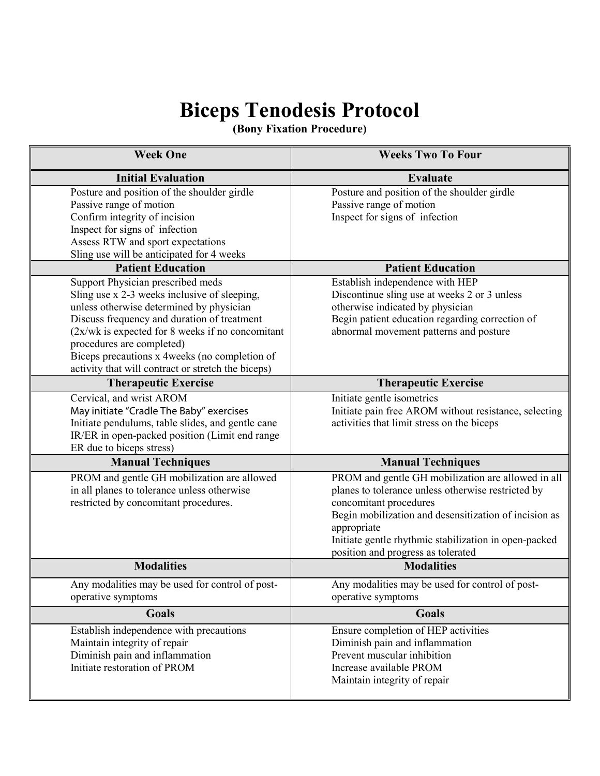# **Biceps Tenodesis Protocol**

**(Bony Fixation Procedure)**

| <b>Week One</b>                                                                                                                                                                                                                                                                                                                                                         | <b>Weeks Two To Four</b>                                                                                                                                                                                                                                                                                  |
|-------------------------------------------------------------------------------------------------------------------------------------------------------------------------------------------------------------------------------------------------------------------------------------------------------------------------------------------------------------------------|-----------------------------------------------------------------------------------------------------------------------------------------------------------------------------------------------------------------------------------------------------------------------------------------------------------|
| <b>Initial Evaluation</b>                                                                                                                                                                                                                                                                                                                                               | Evaluate                                                                                                                                                                                                                                                                                                  |
| Posture and position of the shoulder girdle<br>Passive range of motion<br>Confirm integrity of incision<br>Inspect for signs of infection<br>Assess RTW and sport expectations<br>Sling use will be anticipated for 4 weeks                                                                                                                                             | Posture and position of the shoulder girdle<br>Passive range of motion<br>Inspect for signs of infection                                                                                                                                                                                                  |
| <b>Patient Education</b>                                                                                                                                                                                                                                                                                                                                                | <b>Patient Education</b>                                                                                                                                                                                                                                                                                  |
| Support Physician prescribed meds<br>Sling use x 2-3 weeks inclusive of sleeping,<br>unless otherwise determined by physician<br>Discuss frequency and duration of treatment<br>$(2x/wk)$ is expected for 8 weeks if no concomitant<br>procedures are completed)<br>Biceps precautions x 4weeks (no completion of<br>activity that will contract or stretch the biceps) | Establish independence with HEP<br>Discontinue sling use at weeks 2 or 3 unless<br>otherwise indicated by physician<br>Begin patient education regarding correction of<br>abnormal movement patterns and posture                                                                                          |
| <b>Therapeutic Exercise</b>                                                                                                                                                                                                                                                                                                                                             | <b>Therapeutic Exercise</b>                                                                                                                                                                                                                                                                               |
| Cervical, and wrist AROM<br>May initiate "Cradle The Baby" exercises<br>Initiate pendulums, table slides, and gentle cane<br>IR/ER in open-packed position (Limit end range<br>ER due to biceps stress)                                                                                                                                                                 | Initiate gentle isometrics<br>Initiate pain free AROM without resistance, selecting<br>activities that limit stress on the biceps                                                                                                                                                                         |
| <b>Manual Techniques</b>                                                                                                                                                                                                                                                                                                                                                | <b>Manual Techniques</b>                                                                                                                                                                                                                                                                                  |
| PROM and gentle GH mobilization are allowed<br>in all planes to tolerance unless otherwise<br>restricted by concomitant procedures.                                                                                                                                                                                                                                     | PROM and gentle GH mobilization are allowed in all<br>planes to tolerance unless otherwise restricted by<br>concomitant procedures<br>Begin mobilization and desensitization of incision as<br>appropriate<br>Initiate gentle rhythmic stabilization in open-packed<br>position and progress as tolerated |
| <b>Modalities</b>                                                                                                                                                                                                                                                                                                                                                       | <b>Modalities</b>                                                                                                                                                                                                                                                                                         |
| Any modalities may be used for control of post-<br>operative symptoms                                                                                                                                                                                                                                                                                                   | Any modalities may be used for control of post-<br>operative symptoms                                                                                                                                                                                                                                     |
| <b>Goals</b>                                                                                                                                                                                                                                                                                                                                                            | <b>Goals</b>                                                                                                                                                                                                                                                                                              |
| Establish independence with precautions<br>Maintain integrity of repair<br>Diminish pain and inflammation<br>Initiate restoration of PROM                                                                                                                                                                                                                               | Ensure completion of HEP activities<br>Diminish pain and inflammation<br>Prevent muscular inhibition<br>Increase available PROM<br>Maintain integrity of repair                                                                                                                                           |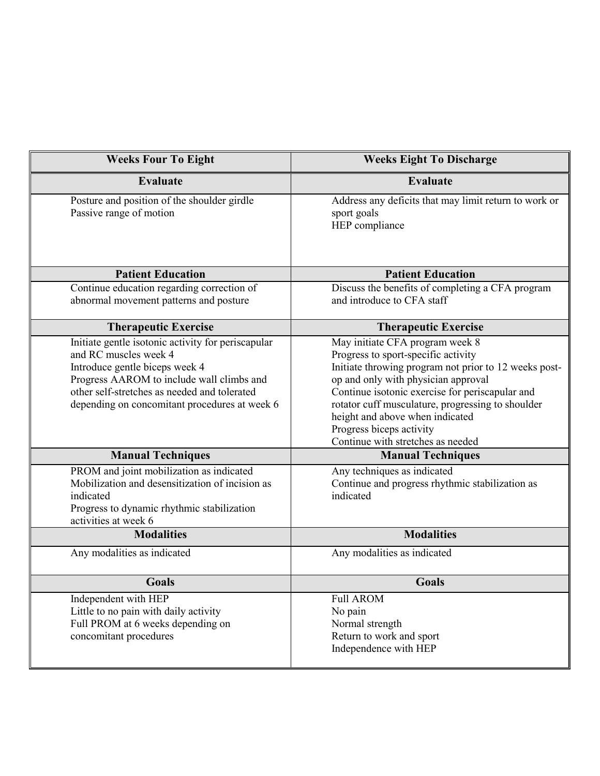| <b>Weeks Four To Eight</b>                                                                                                                                                                                                                                  | <b>Weeks Eight To Discharge</b>                                                                                                                                                                                                                                                                                                                                                    |
|-------------------------------------------------------------------------------------------------------------------------------------------------------------------------------------------------------------------------------------------------------------|------------------------------------------------------------------------------------------------------------------------------------------------------------------------------------------------------------------------------------------------------------------------------------------------------------------------------------------------------------------------------------|
| <b>Evaluate</b>                                                                                                                                                                                                                                             | <b>Evaluate</b>                                                                                                                                                                                                                                                                                                                                                                    |
| Posture and position of the shoulder girdle<br>Passive range of motion                                                                                                                                                                                      | Address any deficits that may limit return to work or<br>sport goals<br>HEP compliance                                                                                                                                                                                                                                                                                             |
| <b>Patient Education</b>                                                                                                                                                                                                                                    | <b>Patient Education</b>                                                                                                                                                                                                                                                                                                                                                           |
| Continue education regarding correction of<br>abnormal movement patterns and posture                                                                                                                                                                        | Discuss the benefits of completing a CFA program<br>and introduce to CFA staff                                                                                                                                                                                                                                                                                                     |
| <b>Therapeutic Exercise</b>                                                                                                                                                                                                                                 | <b>Therapeutic Exercise</b>                                                                                                                                                                                                                                                                                                                                                        |
| Initiate gentle isotonic activity for periscapular<br>and RC muscles week 4<br>Introduce gentle biceps week 4<br>Progress AAROM to include wall climbs and<br>other self-stretches as needed and tolerated<br>depending on concomitant procedures at week 6 | May initiate CFA program week 8<br>Progress to sport-specific activity<br>Initiate throwing program not prior to 12 weeks post-<br>op and only with physician approval<br>Continue isotonic exercise for periscapular and<br>rotator cuff musculature, progressing to shoulder<br>height and above when indicated<br>Progress biceps activity<br>Continue with stretches as needed |
| <b>Manual Techniques</b>                                                                                                                                                                                                                                    | <b>Manual Techniques</b>                                                                                                                                                                                                                                                                                                                                                           |
| PROM and joint mobilization as indicated<br>Mobilization and desensitization of incision as<br>indicated<br>Progress to dynamic rhythmic stabilization<br>activities at week 6                                                                              | Any techniques as indicated<br>Continue and progress rhythmic stabilization as<br>indicated                                                                                                                                                                                                                                                                                        |
| <b>Modalities</b>                                                                                                                                                                                                                                           | <b>Modalities</b>                                                                                                                                                                                                                                                                                                                                                                  |
| Any modalities as indicated                                                                                                                                                                                                                                 | Any modalities as indicated                                                                                                                                                                                                                                                                                                                                                        |
| <b>Goals</b>                                                                                                                                                                                                                                                | <b>Goals</b>                                                                                                                                                                                                                                                                                                                                                                       |
| Independent with HEP<br>Little to no pain with daily activity<br>Full PROM at 6 weeks depending on<br>concomitant procedures                                                                                                                                | <b>Full AROM</b><br>No pain<br>Normal strength<br>Return to work and sport<br>Independence with HEP                                                                                                                                                                                                                                                                                |